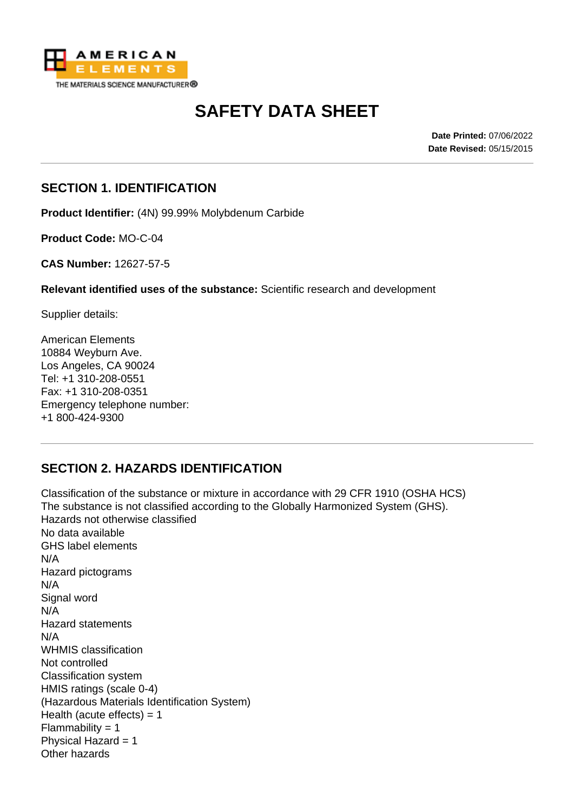

# **SAFETY DATA SHEET**

**Date Printed:** 07/06/2022 **Date Revised:** 05/15/2015

#### **SECTION 1. IDENTIFICATION**

**Product Identifier:** (4N) 99.99% Molybdenum Carbide

**Product Code:** MO-C-04

**CAS Number:** 12627-57-5

**Relevant identified uses of the substance:** Scientific research and development

Supplier details:

American Elements 10884 Weyburn Ave. Los Angeles, CA 90024 Tel: +1 310-208-0551 Fax: +1 310-208-0351 Emergency telephone number: +1 800-424-9300

# **SECTION 2. HAZARDS IDENTIFICATION**

Classification of the substance or mixture in accordance with 29 CFR 1910 (OSHA HCS) The substance is not classified according to the Globally Harmonized System (GHS). Hazards not otherwise classified No data available GHS label elements N/A Hazard pictograms N/A Signal word N/A Hazard statements N/A WHMIS classification Not controlled Classification system HMIS ratings (scale 0-4) (Hazardous Materials Identification System) Health (acute effects)  $= 1$  $Flammability = 1$ Physical Hazard = 1 Other hazards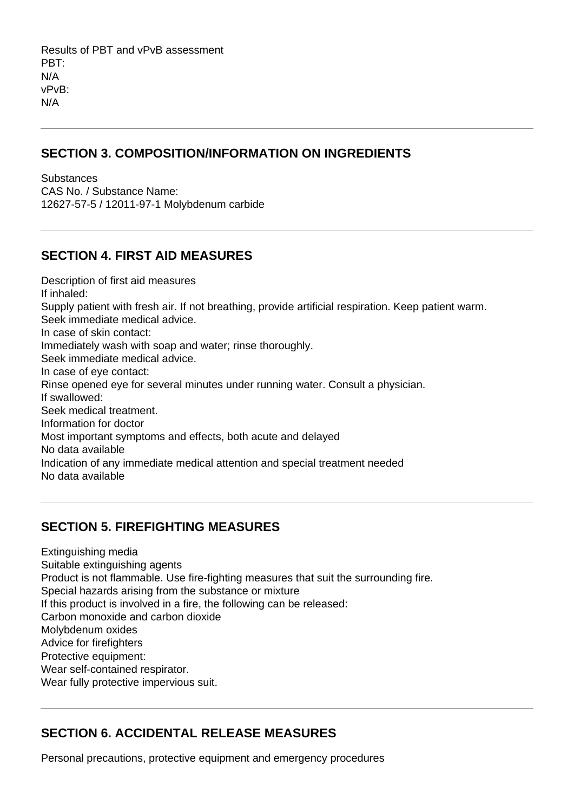Results of PBT and vPvB assessment PBT: N/A vPvB: N/A

#### **SECTION 3. COMPOSITION/INFORMATION ON INGREDIENTS**

**Substances** CAS No. / Substance Name: 12627-57-5 / 12011-97-1 Molybdenum carbide

## **SECTION 4. FIRST AID MEASURES**

Description of first aid measures If inhaled: Supply patient with fresh air. If not breathing, provide artificial respiration. Keep patient warm. Seek immediate medical advice. In case of skin contact: Immediately wash with soap and water; rinse thoroughly. Seek immediate medical advice. In case of eye contact: Rinse opened eye for several minutes under running water. Consult a physician. If swallowed: Seek medical treatment. Information for doctor Most important symptoms and effects, both acute and delayed No data available Indication of any immediate medical attention and special treatment needed No data available

# **SECTION 5. FIREFIGHTING MEASURES**

Extinguishing media Suitable extinguishing agents Product is not flammable. Use fire-fighting measures that suit the surrounding fire. Special hazards arising from the substance or mixture If this product is involved in a fire, the following can be released: Carbon monoxide and carbon dioxide Molybdenum oxides Advice for firefighters Protective equipment: Wear self-contained respirator. Wear fully protective impervious suit.

# **SECTION 6. ACCIDENTAL RELEASE MEASURES**

Personal precautions, protective equipment and emergency procedures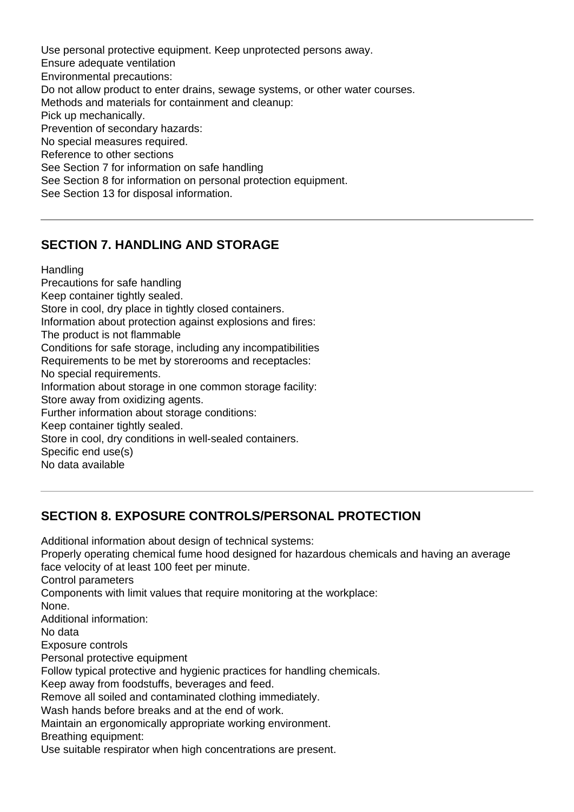Use personal protective equipment. Keep unprotected persons away. Ensure adequate ventilation Environmental precautions: Do not allow product to enter drains, sewage systems, or other water courses. Methods and materials for containment and cleanup: Pick up mechanically. Prevention of secondary hazards: No special measures required. Reference to other sections See Section 7 for information on safe handling See Section 8 for information on personal protection equipment. See Section 13 for disposal information.

#### **SECTION 7. HANDLING AND STORAGE**

**Handling** 

Precautions for safe handling Keep container tightly sealed. Store in cool, dry place in tightly closed containers. Information about protection against explosions and fires: The product is not flammable Conditions for safe storage, including any incompatibilities Requirements to be met by storerooms and receptacles: No special requirements. Information about storage in one common storage facility: Store away from oxidizing agents. Further information about storage conditions: Keep container tightly sealed. Store in cool, dry conditions in well-sealed containers. Specific end use(s) No data available

#### **SECTION 8. EXPOSURE CONTROLS/PERSONAL PROTECTION**

Additional information about design of technical systems: Properly operating chemical fume hood designed for hazardous chemicals and having an average face velocity of at least 100 feet per minute. Control parameters Components with limit values that require monitoring at the workplace: None. Additional information: No data Exposure controls Personal protective equipment Follow typical protective and hygienic practices for handling chemicals. Keep away from foodstuffs, beverages and feed. Remove all soiled and contaminated clothing immediately. Wash hands before breaks and at the end of work. Maintain an ergonomically appropriate working environment. Breathing equipment:

Use suitable respirator when high concentrations are present.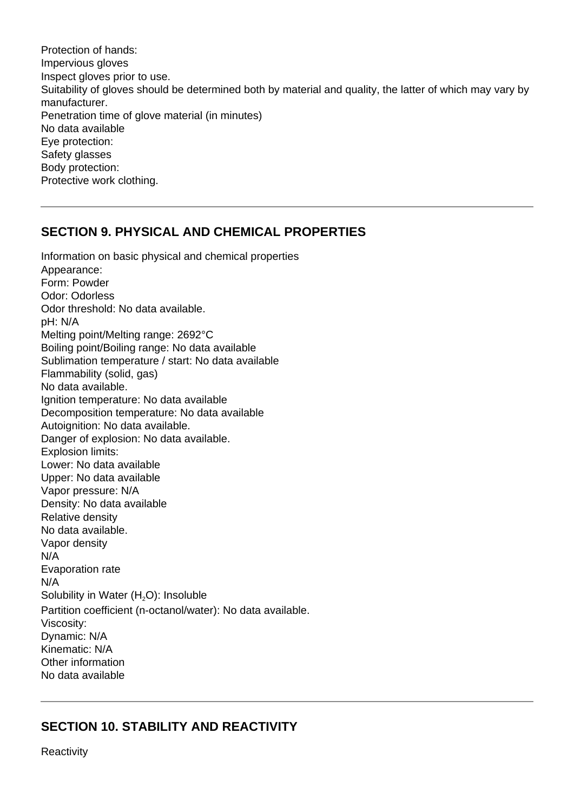Protection of hands: Impervious gloves Inspect gloves prior to use. Suitability of gloves should be determined both by material and quality, the latter of which may vary by manufacturer. Penetration time of glove material (in minutes) No data available Eye protection: Safety glasses Body protection: Protective work clothing.

#### **SECTION 9. PHYSICAL AND CHEMICAL PROPERTIES**

Information on basic physical and chemical properties Appearance: Form: Powder Odor: Odorless Odor threshold: No data available. pH: N/A Melting point/Melting range: 2692°C Boiling point/Boiling range: No data available Sublimation temperature / start: No data available Flammability (solid, gas) No data available. Ignition temperature: No data available Decomposition temperature: No data available Autoignition: No data available. Danger of explosion: No data available. Explosion limits: Lower: No data available Upper: No data available Vapor pressure: N/A Density: No data available Relative density No data available. Vapor density N/A Evaporation rate N/A Solubility in Water  $(H<sub>2</sub>O)$ : Insoluble Partition coefficient (n-octanol/water): No data available. Viscosity: Dynamic: N/A Kinematic: N/A Other information No data available

#### **SECTION 10. STABILITY AND REACTIVITY**

**Reactivity**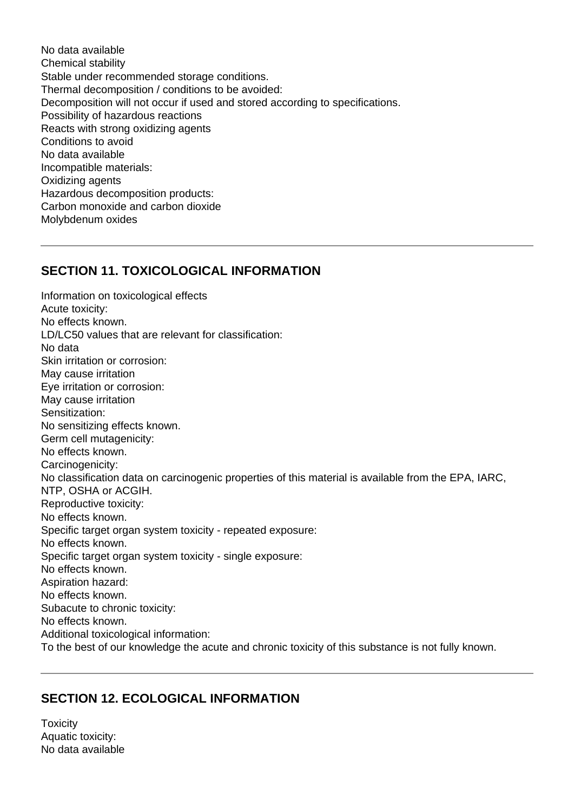No data available Chemical stability Stable under recommended storage conditions. Thermal decomposition / conditions to be avoided: Decomposition will not occur if used and stored according to specifications. Possibility of hazardous reactions Reacts with strong oxidizing agents Conditions to avoid No data available Incompatible materials: Oxidizing agents Hazardous decomposition products: Carbon monoxide and carbon dioxide Molybdenum oxides

## **SECTION 11. TOXICOLOGICAL INFORMATION**

Information on toxicological effects Acute toxicity: No effects known. LD/LC50 values that are relevant for classification: No data Skin irritation or corrosion: May cause irritation Eye irritation or corrosion: May cause irritation Sensitization: No sensitizing effects known. Germ cell mutagenicity: No effects known. Carcinogenicity: No classification data on carcinogenic properties of this material is available from the EPA, IARC, NTP, OSHA or ACGIH. Reproductive toxicity: No effects known. Specific target organ system toxicity - repeated exposure: No effects known. Specific target organ system toxicity - single exposure: No effects known. Aspiration hazard: No effects known. Subacute to chronic toxicity: No effects known. Additional toxicological information: To the best of our knowledge the acute and chronic toxicity of this substance is not fully known.

# **SECTION 12. ECOLOGICAL INFORMATION**

**Toxicity** Aquatic toxicity: No data available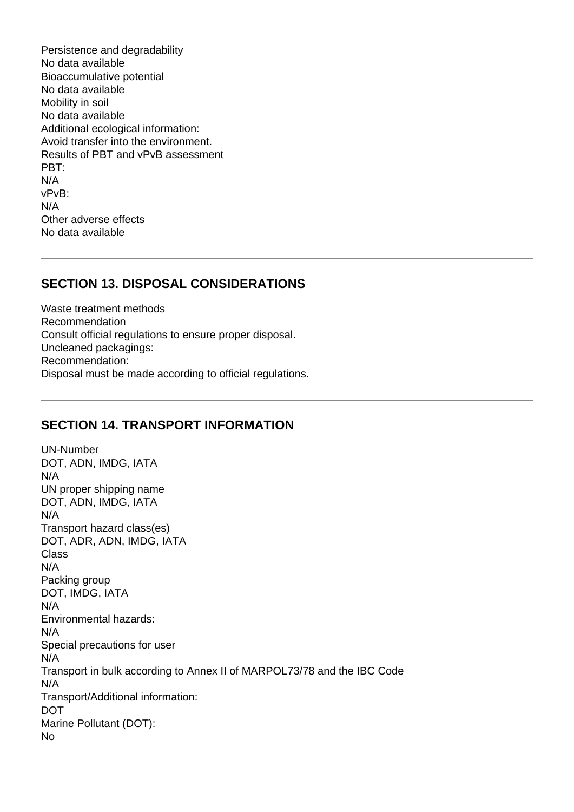Persistence and degradability No data available Bioaccumulative potential No data available Mobility in soil No data available Additional ecological information: Avoid transfer into the environment. Results of PBT and vPvB assessment PBT: N/A vPvB: N/A Other adverse effects No data available

#### **SECTION 13. DISPOSAL CONSIDERATIONS**

Waste treatment methods Recommendation Consult official regulations to ensure proper disposal. Uncleaned packagings: Recommendation: Disposal must be made according to official regulations.

#### **SECTION 14. TRANSPORT INFORMATION**

UN-Number DOT, ADN, IMDG, IATA N/A UN proper shipping name DOT, ADN, IMDG, IATA N/A Transport hazard class(es) DOT, ADR, ADN, IMDG, IATA **Class** N/A Packing group DOT, IMDG, IATA N/A Environmental hazards: N/A Special precautions for user N/A Transport in bulk according to Annex II of MARPOL73/78 and the IBC Code N/A Transport/Additional information: DOT Marine Pollutant (DOT): No